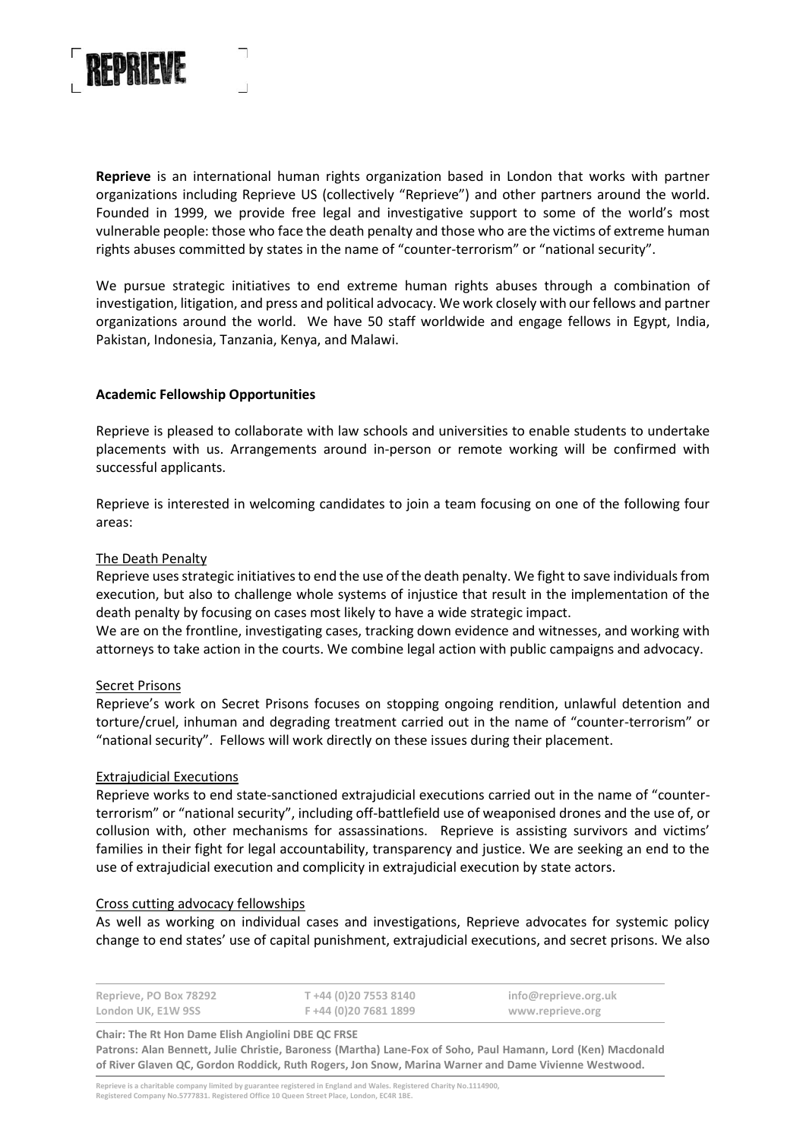

**Reprieve** is an international human rights organization based in London that works with partner organizations including Reprieve US (collectively "Reprieve") and other partners around the world. Founded in 1999, we provide free legal and investigative support to some of the world's most vulnerable people: those who face the death penalty and those who are the victims of extreme human rights abuses committed by states in the name of "counter-terrorism" or "national security".

We pursue strategic initiatives to end extreme human rights abuses through a combination of investigation, litigation, and press and political advocacy. We work closely with our fellows and partner organizations around the world. We have 50 staff worldwide and engage fellows in Egypt, India, Pakistan, Indonesia, Tanzania, Kenya, and Malawi.

# **Academic Fellowship Opportunities**

Reprieve is pleased to collaborate with law schools and universities to enable students to undertake placements with us. Arrangements around in-person or remote working will be confirmed with successful applicants.

Reprieve is interested in welcoming candidates to join a team focusing on one of the following four areas:

# The Death Penalty

Reprieve uses strategic initiatives to end the use of the death penalty. We fight to save individuals from execution, but also to challenge whole systems of injustice that result in the implementation of the death penalty by focusing on cases most likely to have a wide strategic impact.

We are on the frontline, investigating cases, tracking down evidence and witnesses, and working with attorneys to take action in the courts. We combine legal action with public campaigns and advocacy.

# Secret Prisons

Reprieve's work on Secret Prisons focuses on stopping ongoing rendition, unlawful detention and torture/cruel, inhuman and degrading treatment carried out in the name of "counter-terrorism" or "national security". Fellows will work directly on these issues during their placement.

# Extrajudicial Executions

Reprieve works to end state-sanctioned extrajudicial executions carried out in the name of "counterterrorism" or "national security", including off-battlefield use of weaponised drones and the use of, or collusion with, other mechanisms for assassinations. Reprieve is assisting survivors and victims' families in their fight for legal accountability, transparency and justice. We are seeking an end to the use of extrajudicial execution and complicity in extrajudicial execution by state actors.

#### Cross cutting advocacy fellowships

As well as working on individual cases and investigations, Reprieve advocates for systemic policy change to end states' use of capital punishment, extrajudicial executions, and secret prisons. We also

| Reprieve, PO Box 78292 | T +44 (0)20 7553 8140 | info@reprieve.org.uk |
|------------------------|-----------------------|----------------------|
| London UK, E1W 9SS     | F +44 (0)20 7681 1899 | www.reprieve.org     |

**Chair: The Rt Hon Dame Elish Angiolini DBE QC FRSE Patrons: Alan Bennett, Julie Christie, Baroness (Martha) Lane-Fox of Soho, Paul Hamann, Lord (Ken) Macdonald of River Glaven QC, Gordon Roddick, Ruth Rogers, Jon Snow, Marina Warner and Dame Vivienne Westwood.**

Reprieve is a charitable company limited by guarantee registered in England and Wales. Registered Charity No.1114900,<br>Registered Company No.5777831. Registered Office 10 Queen Street Place, London, EC4R 1BE.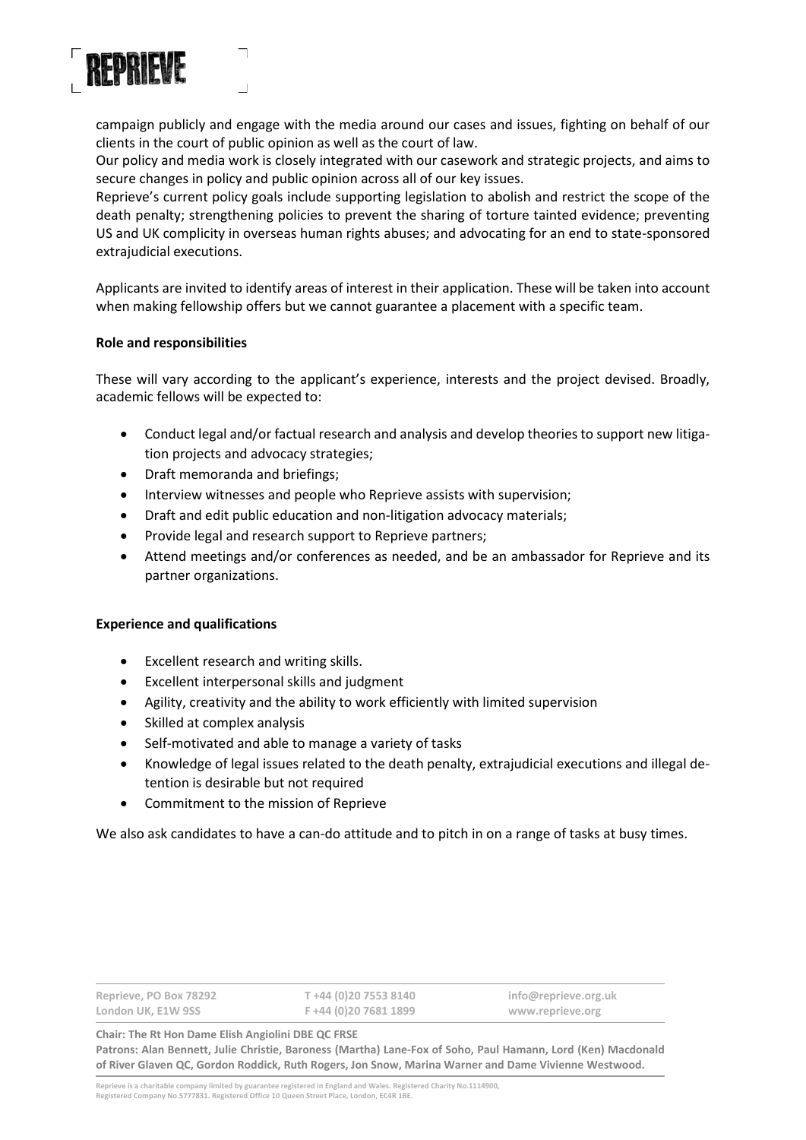

campaign publicly and engage with the media around our cases and issues, fighting on behalf of our clients in the court of public opinion as well as the court of law.

Our policy and media work is closely integrated with our casework and strategic projects, and aims to secure changes in policy and public opinion across all of our key issues.

Reprieve's current policy goals include supporting legislation to abolish and restrict the scope of the death penalty; strengthening policies to prevent the sharing of torture tainted evidence; preventing US and UK complicity in overseas human rights abuses; and advocating for an end to state-sponsored extrajudicial executions.

Applicants are invited to identify areas of interest in their application. These will be taken into account when making fellowship offers but we cannot guarantee a placement with a specific team.

### **Role and responsibilities**

These will vary according to the applicant's experience, interests and the project devised. Broadly, academic fellows will be expected to:

- Conduct legal and/or factual research and analysis and develop theories to support new litigation projects and advocacy strategies;
- Draft memoranda and briefings;
- Interview witnesses and people who Reprieve assists with supervision;
- Draft and edit public education and non-litigation advocacy materials;
- Provide legal and research support to Reprieve partners;
- Attend meetings and/or conferences as needed, and be an ambassador for Reprieve and its partner organizations.

#### **Experience and qualifications**

- Excellent research and writing skills.
- Excellent interpersonal skills and judgment
- Agility, creativity and the ability to work efficiently with limited supervision
- Skilled at complex analysis
- Self-motivated and able to manage a variety of tasks
- Knowledge of legal issues related to the death penalty, extrajudicial executions and illegal detention is desirable but not required
- Commitment to the mission of Reprieve

We also ask candidates to have a can-do attitude and to pitch in on a range of tasks at busy times.

| Reprieve, PO Box 78292 | T +44 (0)20 7553 8140 | info@reprieve.org.uk |
|------------------------|-----------------------|----------------------|
| London UK, E1W 9SS     | F +44 (0)20 7681 1899 | www.reprieve.org     |

**Chair: The Rt Hon Dame Elish Angiolini DBE QC FRSE Patrons: Alan Bennett, Julie Christie, Baroness (Martha) Lane-Fox of Soho, Paul Hamann, Lord (Ken) Macdonald of River Glaven QC, Gordon Roddick, Ruth Rogers, Jon Snow, Marina Warner and Dame Vivienne Westwood.**

Reprieve is a charitable company limited by guarantee registered in England and Wales. Registered Charity No.1114900,<br>Registered Company No.5777831. Registered Office 10 Queen Street Place, London, EC4R 1BE.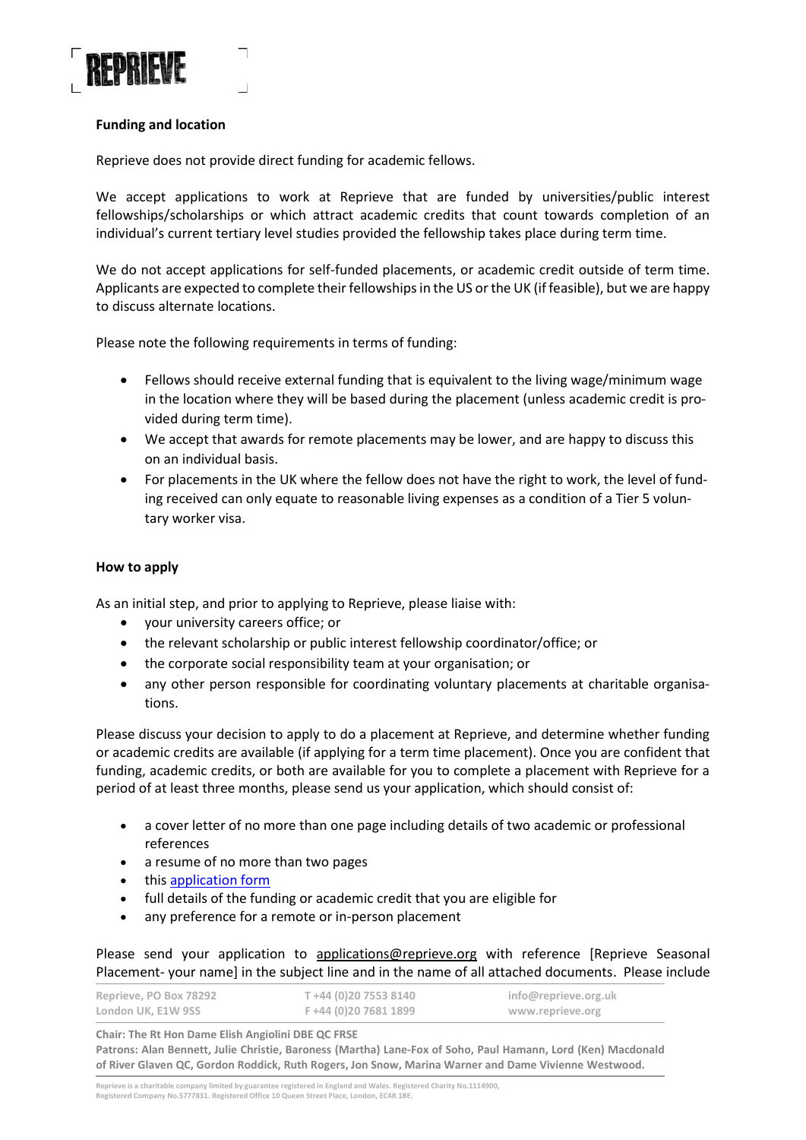

# **Funding and location**

Reprieve does not provide direct funding for academic fellows.

We accept applications to work at Reprieve that are funded by universities/public interest fellowships/scholarships or which attract academic credits that count towards completion of an individual's current tertiary level studies provided the fellowship takes place during term time.

We do not accept applications for self-funded placements, or academic credit outside of term time. Applicants are expected to complete their fellowships in the US or the UK (if feasible), but we are happy to discuss alternate locations.

Please note the following requirements in terms of funding:

- Fellows should receive external funding that is equivalent to the living wage/minimum wage in the location where they will be based during the placement (unless academic credit is provided during term time).
- We accept that awards for remote placements may be lower, and are happy to discuss this on an individual basis.
- For placements in the UK where the fellow does not have the right to work, the level of funding received can only equate to reasonable living expenses as a condition of a Tier 5 voluntary worker visa.

# **How to apply**

As an initial step, and prior to applying to Reprieve, please liaise with:

- your university careers office; or
- the relevant scholarship or public interest fellowship coordinator/office; or
- the corporate social responsibility team at your organisation; or
- any other person responsible for coordinating voluntary placements at charitable organisations.

Please discuss your decision to apply to do a placement at Reprieve, and determine whether funding or academic credits are available (if applying for a term time placement). Once you are confident that funding, academic credits, or both are available for you to complete a placement with Reprieve for a period of at least three months, please send us your application, which should consist of:

- a cover letter of no more than one page including details of two academic or professional references
- a resume of no more than two pages
- thi[s application form](https://reprieve.org/wp-content/uploads/sites/2/2022/01/Reprieve-seasonal-fellow-application-form.pdf)
- full details of the funding or academic credit that you are eligible for
- any preference for a remote or in-person placement

Please send your application to [applications@reprieve.org](mailto:applications@reprieve.org) with reference [Reprieve Seasonal Placement- your name] in the subject line and in the name of all attached documents. Please include

| Reprieve, PO Box 78292 | T +44 (0)20 7553 8140  | info@reprieve.org.uk |
|------------------------|------------------------|----------------------|
| London UK, E1W 9SS     | F +44 (0) 20 7681 1899 | www.reprieve.org     |

**Chair: The Rt Hon Dame Elish Angiolini DBE QC FRSE Patrons: Alan Bennett, Julie Christie, Baroness (Martha) Lane-Fox of Soho, Paul Hamann, Lord (Ken) Macdonald of River Glaven QC, Gordon Roddick, Ruth Rogers, Jon Snow, Marina Warner and Dame Vivienne Westwood.**